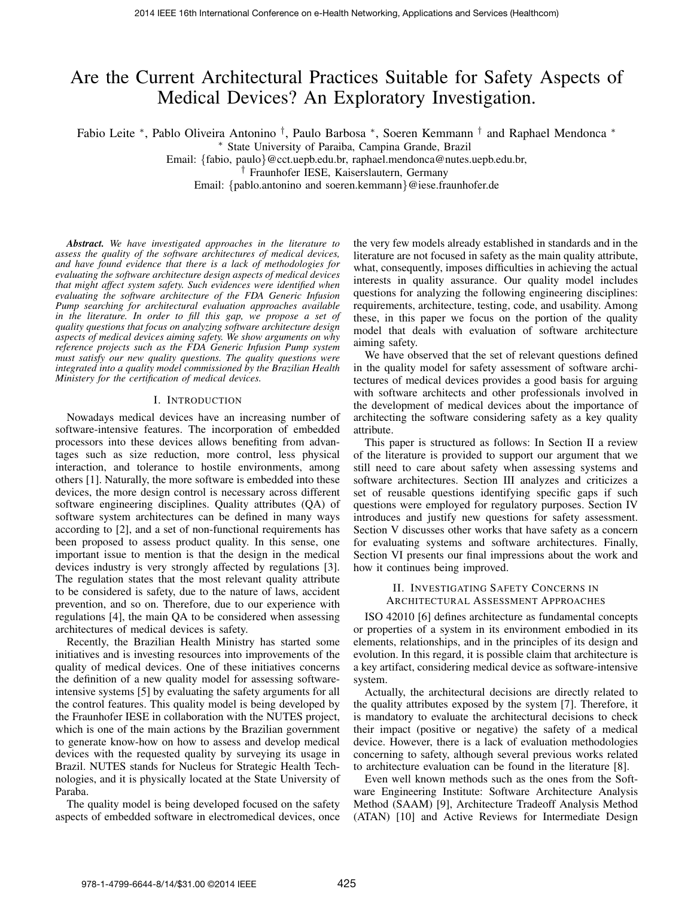# Are the Current Architectural Practices Suitable for Safety Aspects of Medical Devices? An Exploratory Investigation.

Fabio Leite \*, Pablo Oliveira Antonino <sup>†</sup>, Paulo Barbosa \*, Soeren Kemmann <sup>†</sup> and Raphael Mendonca \*

<sup>∗</sup> State University of Paraiba, Campina Grande, Brazil

Email: {fabio, paulo}@cct.uepb.edu.br, raphael.mendonca@nutes.uepb.edu.br,

† Fraunhofer IESE, Kaiserslautern, Germany

Email: {pablo.antonino and soeren.kemmann}@iese.fraunhofer.de

*Abstract. We have investigated approaches in the literature to assess the quality of the software architectures of medical devices, and have found evidence that there is a lack of methodologies for evaluating the software architecture design aspects of medical devices that might affect system safety. Such evidences were identified when evaluating the software architecture of the FDA Generic Infusion Pump searching for architectural evaluation approaches available in the literature. In order to fill this gap, we propose a set of quality questions that focus on analyzing software architecture design aspects of medical devices aiming safety. We show arguments on why reference projects such as the FDA Generic Infusion Pump system must satisfy our new quality questions. The quality questions were integrated into a quality model commissioned by the Brazilian Health Ministery for the certification of medical devices.*

#### I. INTRODUCTION

Nowadays medical devices have an increasing number of software-intensive features. The incorporation of embedded processors into these devices allows benefiting from advantages such as size reduction, more control, less physical interaction, and tolerance to hostile environments, among others [1]. Naturally, the more software is embedded into these devices, the more design control is necessary across different software engineering disciplines. Quality attributes (QA) of software system architectures can be defined in many ways according to [2], and a set of non-functional requirements has been proposed to assess product quality. In this sense, one important issue to mention is that the design in the medical devices industry is very strongly affected by regulations [3]. The regulation states that the most relevant quality attribute to be considered is safety, due to the nature of laws, accident prevention, and so on. Therefore, due to our experience with regulations [4], the main QA to be considered when assessing architectures of medical devices is safety.

Recently, the Brazilian Health Ministry has started some initiatives and is investing resources into improvements of the quality of medical devices. One of these initiatives concerns the definition of a new quality model for assessing softwareintensive systems [5] by evaluating the safety arguments for all the control features. This quality model is being developed by the Fraunhofer IESE in collaboration with the NUTES project, which is one of the main actions by the Brazilian government to generate know-how on how to assess and develop medical devices with the requested quality by surveying its usage in Brazil. NUTES stands for Nucleus for Strategic Health Technologies, and it is physically located at the State University of Paraba.

The quality model is being developed focused on the safety aspects of embedded software in electromedical devices, once

the very few models already established in standards and in the literature are not focused in safety as the main quality attribute, what, consequently, imposes difficulties in achieving the actual interests in quality assurance. Our quality model includes questions for analyzing the following engineering disciplines: requirements, architecture, testing, code, and usability. Among these, in this paper we focus on the portion of the quality model that deals with evaluation of software architecture aiming safety.

We have observed that the set of relevant questions defined in the quality model for safety assessment of software architectures of medical devices provides a good basis for arguing with software architects and other professionals involved in the development of medical devices about the importance of architecting the software considering safety as a key quality attribute.

This paper is structured as follows: In Section II a review of the literature is provided to support our argument that we still need to care about safety when assessing systems and software architectures. Section III analyzes and criticizes a set of reusable questions identifying specific gaps if such questions were employed for regulatory purposes. Section IV introduces and justify new questions for safety assessment. Section V discusses other works that have safety as a concern for evaluating systems and software architectures. Finally, Section VI presents our final impressions about the work and how it continues being improved.

## II. INVESTIGATING SAFETY CONCERNS IN ARCHITECTURAL ASSESSMENT APPROACHES

ISO 42010 [6] defines architecture as fundamental concepts or properties of a system in its environment embodied in its elements, relationships, and in the principles of its design and evolution. In this regard, it is possible claim that architecture is a key artifact, considering medical device as software-intensive system.

Actually, the architectural decisions are directly related to the quality attributes exposed by the system [7]. Therefore, it is mandatory to evaluate the architectural decisions to check their impact (positive or negative) the safety of a medical device. However, there is a lack of evaluation methodologies concerning to safety, although several previous works related to architecture evaluation can be found in the literature [8].

Even well known methods such as the ones from the Software Engineering Institute: Software Architecture Analysis Method (SAAM) [9], Architecture Tradeoff Analysis Method (ATAN) [10] and Active Reviews for Intermediate Design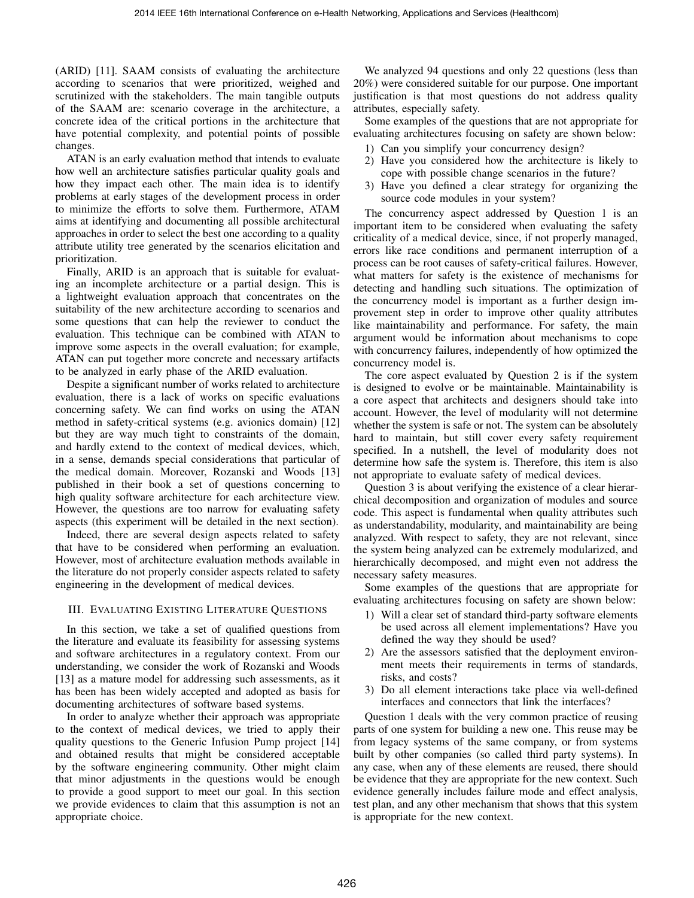(ARID) [11]. SAAM consists of evaluating the architecture according to scenarios that were prioritized, weighed and scrutinized with the stakeholders. The main tangible outputs of the SAAM are: scenario coverage in the architecture, a concrete idea of the critical portions in the architecture that have potential complexity, and potential points of possible changes.

ATAN is an early evaluation method that intends to evaluate how well an architecture satisfies particular quality goals and how they impact each other. The main idea is to identify problems at early stages of the development process in order to minimize the efforts to solve them. Furthermore, ATAM aims at identifying and documenting all possible architectural approaches in order to select the best one according to a quality attribute utility tree generated by the scenarios elicitation and prioritization.

Finally, ARID is an approach that is suitable for evaluating an incomplete architecture or a partial design. This is a lightweight evaluation approach that concentrates on the suitability of the new architecture according to scenarios and some questions that can help the reviewer to conduct the evaluation. This technique can be combined with ATAN to improve some aspects in the overall evaluation; for example, ATAN can put together more concrete and necessary artifacts to be analyzed in early phase of the ARID evaluation.

Despite a significant number of works related to architecture evaluation, there is a lack of works on specific evaluations concerning safety. We can find works on using the ATAN method in safety-critical systems (e.g. avionics domain) [12] but they are way much tight to constraints of the domain, and hardly extend to the context of medical devices, which, in a sense, demands special considerations that particular of the medical domain. Moreover, Rozanski and Woods [13] published in their book a set of questions concerning to high quality software architecture for each architecture view. However, the questions are too narrow for evaluating safety aspects (this experiment will be detailed in the next section).

Indeed, there are several design aspects related to safety that have to be considered when performing an evaluation. However, most of architecture evaluation methods available in the literature do not properly consider aspects related to safety engineering in the development of medical devices.

## III. EVALUATING EXISTING LITERATURE QUESTIONS

In this section, we take a set of qualified questions from the literature and evaluate its feasibility for assessing systems and software architectures in a regulatory context. From our understanding, we consider the work of Rozanski and Woods [13] as a mature model for addressing such assessments, as it has been has been widely accepted and adopted as basis for documenting architectures of software based systems.

In order to analyze whether their approach was appropriate to the context of medical devices, we tried to apply their quality questions to the Generic Infusion Pump project [14] and obtained results that might be considered acceptable by the software engineering community. Other might claim that minor adjustments in the questions would be enough to provide a good support to meet our goal. In this section we provide evidences to claim that this assumption is not an appropriate choice.

We analyzed 94 questions and only 22 questions (less than 20%) were considered suitable for our purpose. One important justification is that most questions do not address quality attributes, especially safety.

Some examples of the questions that are not appropriate for evaluating architectures focusing on safety are shown below:

- 1) Can you simplify your concurrency design?
- 2) Have you considered how the architecture is likely to cope with possible change scenarios in the future?
- 3) Have you defined a clear strategy for organizing the source code modules in your system?

The concurrency aspect addressed by Question 1 is an important item to be considered when evaluating the safety criticality of a medical device, since, if not properly managed, errors like race conditions and permanent interruption of a process can be root causes of safety-critical failures. However, what matters for safety is the existence of mechanisms for detecting and handling such situations. The optimization of the concurrency model is important as a further design improvement step in order to improve other quality attributes like maintainability and performance. For safety, the main argument would be information about mechanisms to cope with concurrency failures, independently of how optimized the concurrency model is.

The core aspect evaluated by Question 2 is if the system is designed to evolve or be maintainable. Maintainability is a core aspect that architects and designers should take into account. However, the level of modularity will not determine whether the system is safe or not. The system can be absolutely hard to maintain, but still cover every safety requirement specified. In a nutshell, the level of modularity does not determine how safe the system is. Therefore, this item is also not appropriate to evaluate safety of medical devices.

Question 3 is about verifying the existence of a clear hierarchical decomposition and organization of modules and source code. This aspect is fundamental when quality attributes such as understandability, modularity, and maintainability are being analyzed. With respect to safety, they are not relevant, since the system being analyzed can be extremely modularized, and hierarchically decomposed, and might even not address the necessary safety measures.

Some examples of the questions that are appropriate for evaluating architectures focusing on safety are shown below:

- 1) Will a clear set of standard third-party software elements be used across all element implementations? Have you defined the way they should be used?
- 2) Are the assessors satisfied that the deployment environment meets their requirements in terms of standards, risks, and costs?
- 3) Do all element interactions take place via well-defined interfaces and connectors that link the interfaces?

Question 1 deals with the very common practice of reusing parts of one system for building a new one. This reuse may be from legacy systems of the same company, or from systems built by other companies (so called third party systems). In any case, when any of these elements are reused, there should be evidence that they are appropriate for the new context. Such evidence generally includes failure mode and effect analysis, test plan, and any other mechanism that shows that this system is appropriate for the new context.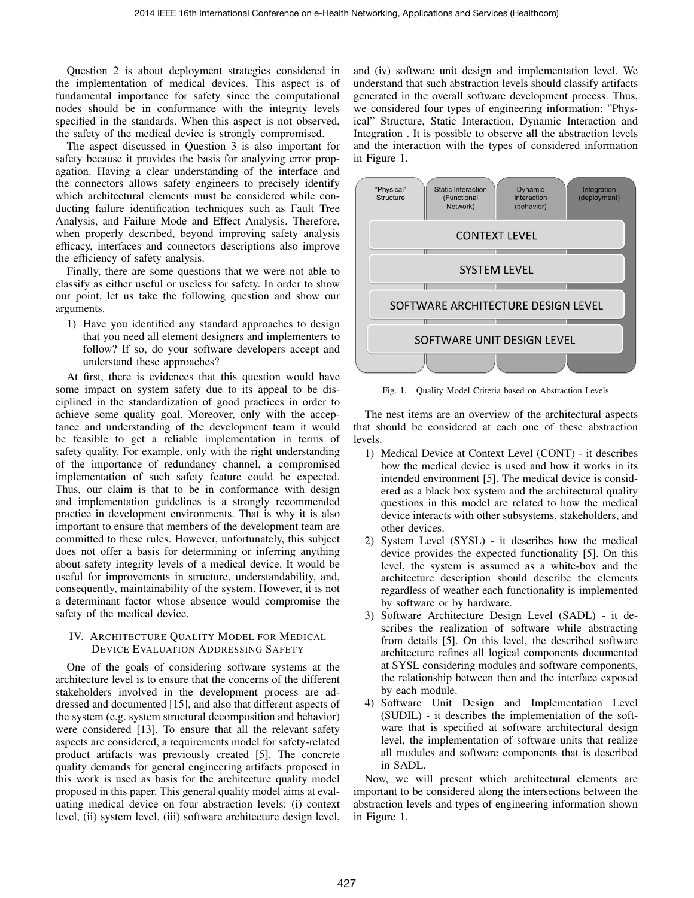Question 2 is about deployment strategies considered in the implementation of medical devices. This aspect is of fundamental importance for safety since the computational nodes should be in conformance with the integrity levels specified in the standards. When this aspect is not observed, the safety of the medical device is strongly compromised.

The aspect discussed in Question 3 is also important for safety because it provides the basis for analyzing error propagation. Having a clear understanding of the interface and the connectors allows safety engineers to precisely identify which architectural elements must be considered while conducting failure identification techniques such as Fault Tree Analysis, and Failure Mode and Effect Analysis. Therefore, when properly described, beyond improving safety analysis efficacy, interfaces and connectors descriptions also improve the efficiency of safety analysis.

Finally, there are some questions that we were not able to classify as either useful or useless for safety. In order to show our point, let us take the following question and show our arguments.

1) Have you identified any standard approaches to design that you need all element designers and implementers to follow? If so, do your software developers accept and understand these approaches?

At first, there is evidences that this question would have some impact on system safety due to its appeal to be disciplined in the standardization of good practices in order to achieve some quality goal. Moreover, only with the acceptance and understanding of the development team it would be feasible to get a reliable implementation in terms of safety quality. For example, only with the right understanding of the importance of redundancy channel, a compromised implementation of such safety feature could be expected. Thus, our claim is that to be in conformance with design and implementation guidelines is a strongly recommended practice in development environments. That is why it is also important to ensure that members of the development team are committed to these rules. However, unfortunately, this subject does not offer a basis for determining or inferring anything about safety integrity levels of a medical device. It would be useful for improvements in structure, understandability, and, consequently, maintainability of the system. However, it is not a determinant factor whose absence would compromise the safety of the medical device.

### IV. ARCHITECTURE QUALITY MODEL FOR MEDICAL DEVICE EVALUATION ADDRESSING SAFETY

One of the goals of considering software systems at the architecture level is to ensure that the concerns of the different stakeholders involved in the development process are addressed and documented [15], and also that different aspects of the system (e.g. system structural decomposition and behavior) were considered [13]. To ensure that all the relevant safety aspects are considered, a requirements model for safety-related product artifacts was previously created [5]. The concrete quality demands for general engineering artifacts proposed in this work is used as basis for the architecture quality model proposed in this paper. This general quality model aims at evaluating medical device on four abstraction levels: (i) context level, (ii) system level, (iii) software architecture design level, and (iv) software unit design and implementation level. We understand that such abstraction levels should classify artifacts generated in the overall software development process. Thus, we considered four types of engineering information: "Physical" Structure, Static Interaction, Dynamic Interaction and Integration . It is possible to observe all the abstraction levels and the interaction with the types of considered information in Figure 1.



Fig. 1. Quality Model Criteria based on Abstraction Levels

The nest items are an overview of the architectural aspects that should be considered at each one of these abstraction levels.

- 1) Medical Device at Context Level (CONT) it describes how the medical device is used and how it works in its intended environment [5]. The medical device is considered as a black box system and the architectural quality questions in this model are related to how the medical device interacts with other subsystems, stakeholders, and other devices.
- 2) System Level (SYSL) it describes how the medical device provides the expected functionality [5]. On this level, the system is assumed as a white-box and the architecture description should describe the elements regardless of weather each functionality is implemented by software or by hardware.
- 3) Software Architecture Design Level (SADL) it describes the realization of software while abstracting from details [5]. On this level, the described software architecture refines all logical components documented at SYSL considering modules and software components, the relationship between then and the interface exposed by each module.
- 4) Software Unit Design and Implementation Level (SUDIL) - it describes the implementation of the software that is specified at software architectural design level, the implementation of software units that realize all modules and software components that is described in SADL.

Now, we will present which architectural elements are important to be considered along the intersections between the abstraction levels and types of engineering information shown in Figure 1.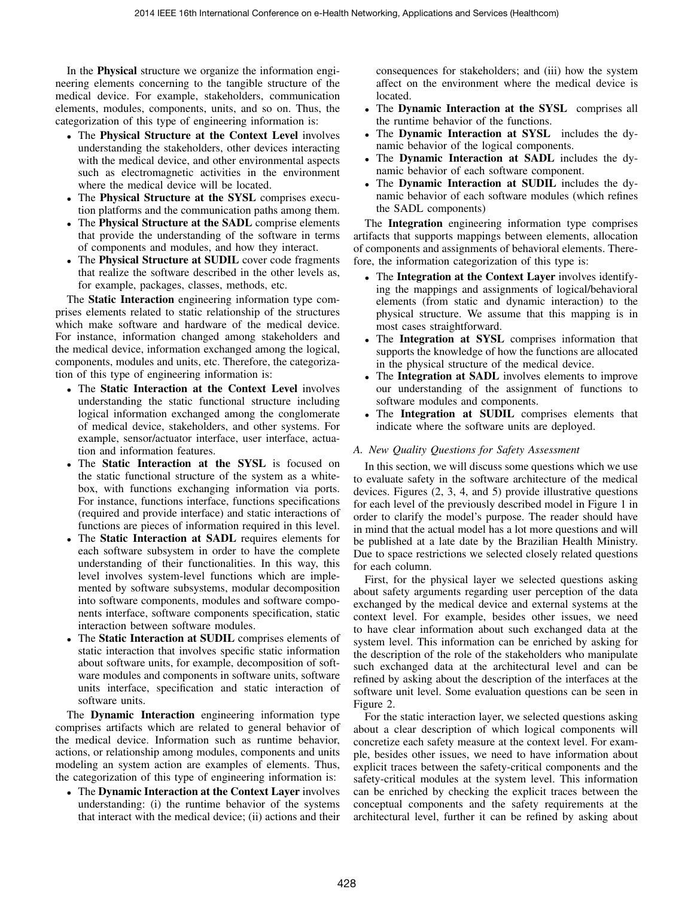In the Physical structure we organize the information engineering elements concerning to the tangible structure of the medical device. For example, stakeholders, communication elements, modules, components, units, and so on. Thus, the categorization of this type of engineering information is:

- The Physical Structure at the Context Level involves understanding the stakeholders, other devices interacting with the medical device, and other environmental aspects such as electromagnetic activities in the environment where the medical device will be located.
- The Physical Structure at the SYSL comprises execution platforms and the communication paths among them.
- The Physical Structure at the SADL comprise elements that provide the understanding of the software in terms of components and modules, and how they interact.
- The Physical Structure at SUDIL cover code fragments that realize the software described in the other levels as, for example, packages, classes, methods, etc.

The Static Interaction engineering information type comprises elements related to static relationship of the structures which make software and hardware of the medical device. For instance, information changed among stakeholders and the medical device, information exchanged among the logical, components, modules and units, etc. Therefore, the categorization of this type of engineering information is:

- The Static Interaction at the Context Level involves understanding the static functional structure including logical information exchanged among the conglomerate of medical device, stakeholders, and other systems. For example, sensor/actuator interface, user interface, actuation and information features.
- The Static Interaction at the SYSL is focused on the static functional structure of the system as a whitebox, with functions exchanging information via ports. For instance, functions interface, functions specifications (required and provide interface) and static interactions of functions are pieces of information required in this level.
- The Static Interaction at SADL requires elements for each software subsystem in order to have the complete understanding of their functionalities. In this way, this level involves system-level functions which are implemented by software subsystems, modular decomposition into software components, modules and software components interface, software components specification, static interaction between software modules.
- The Static Interaction at SUDIL comprises elements of static interaction that involves specific static information about software units, for example, decomposition of software modules and components in software units, software units interface, specification and static interaction of software units.

The Dynamic Interaction engineering information type comprises artifacts which are related to general behavior of the medical device. Information such as runtime behavior, actions, or relationship among modules, components and units modeling an system action are examples of elements. Thus, the categorization of this type of engineering information is:

• The Dynamic Interaction at the Context Layer involves understanding: (i) the runtime behavior of the systems that interact with the medical device; (ii) actions and their

consequences for stakeholders; and (iii) how the system affect on the environment where the medical device is located.

- The Dynamic Interaction at the SYSL comprises all the runtime behavior of the functions.
- The Dynamic Interaction at SYSL includes the dynamic behavior of the logical components.
- The Dynamic Interaction at SADL includes the dynamic behavior of each software component.
- The Dynamic Interaction at SUDIL includes the dynamic behavior of each software modules (which refines the SADL components)

The Integration engineering information type comprises artifacts that supports mappings between elements, allocation of components and assignments of behavioral elements. Therefore, the information categorization of this type is:

- The Integration at the Context Layer involves identifying the mappings and assignments of logical/behavioral elements (from static and dynamic interaction) to the physical structure. We assume that this mapping is in most cases straightforward.
- The Integration at SYSL comprises information that supports the knowledge of how the functions are allocated in the physical structure of the medical device.
- The Integration at SADL involves elements to improve our understanding of the assignment of functions to software modules and components.
- The Integration at SUDIL comprises elements that indicate where the software units are deployed.

## *A. New Quality Questions for Safety Assessment*

In this section, we will discuss some questions which we use to evaluate safety in the software architecture of the medical devices. Figures (2, 3, 4, and 5) provide illustrative questions for each level of the previously described model in Figure 1 in order to clarify the model's purpose. The reader should have in mind that the actual model has a lot more questions and will be published at a late date by the Brazilian Health Ministry. Due to space restrictions we selected closely related questions for each column.

First, for the physical layer we selected questions asking about safety arguments regarding user perception of the data exchanged by the medical device and external systems at the context level. For example, besides other issues, we need to have clear information about such exchanged data at the system level. This information can be enriched by asking for the description of the role of the stakeholders who manipulate such exchanged data at the architectural level and can be refined by asking about the description of the interfaces at the software unit level. Some evaluation questions can be seen in Figure 2.

For the static interaction layer, we selected questions asking about a clear description of which logical components will concretize each safety measure at the context level. For example, besides other issues, we need to have information about explicit traces between the safety-critical components and the safety-critical modules at the system level. This information can be enriched by checking the explicit traces between the conceptual components and the safety requirements at the architectural level, further it can be refined by asking about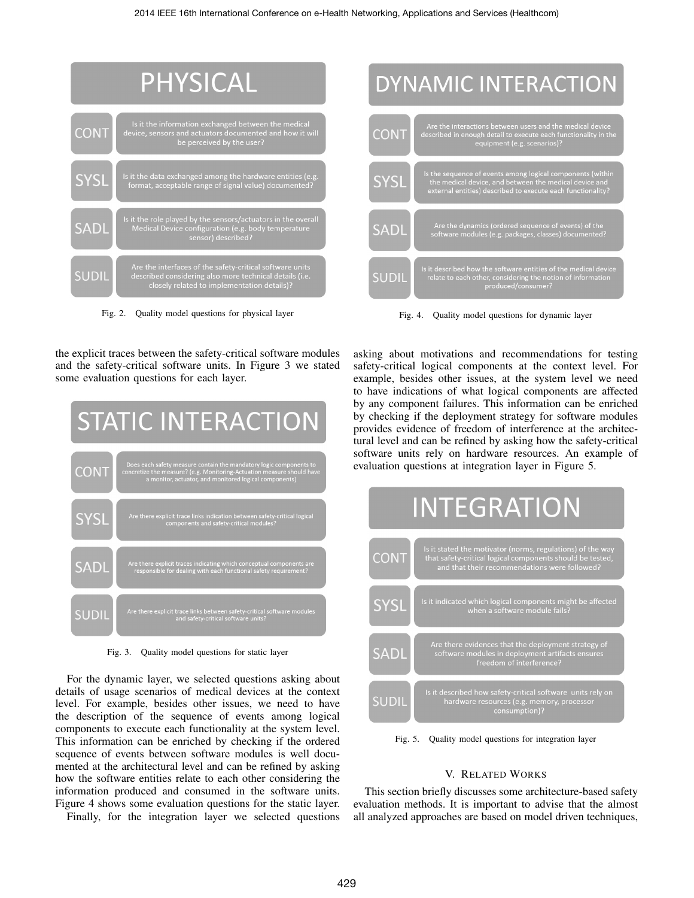

Fig. 2. Quality model questions for physical layer



Fig. 4. Quality model questions for dynamic layer

the explicit traces between the safety-critical software modules and the safety-critical software units. In Figure 3 we stated some evaluation questions for each layer.



Fig. 3. Quality model questions for static layer

For the dynamic layer, we selected questions asking about details of usage scenarios of medical devices at the context level. For example, besides other issues, we need to have the description of the sequence of events among logical components to execute each functionality at the system level. This information can be enriched by checking if the ordered sequence of events between software modules is well documented at the architectural level and can be refined by asking how the software entities relate to each other considering the information produced and consumed in the software units. Figure 4 shows some evaluation questions for the static layer.

Finally, for the integration layer we selected questions

asking about motivations and recommendations for testing safety-critical logical components at the context level. For example, besides other issues, at the system level we need to have indications of what logical components are affected by any component failures. This information can be enriched by checking if the deployment strategy for software modules provides evidence of freedom of interference at the architectural level and can be refined by asking how the safety-critical software units rely on hardware resources. An example of evaluation questions at integration layer in Figure 5.



Fig. 5. Quality model questions for integration layer

## V. RELATED WORKS

This section briefly discusses some architecture-based safety evaluation methods. It is important to advise that the almost all analyzed approaches are based on model driven techniques,